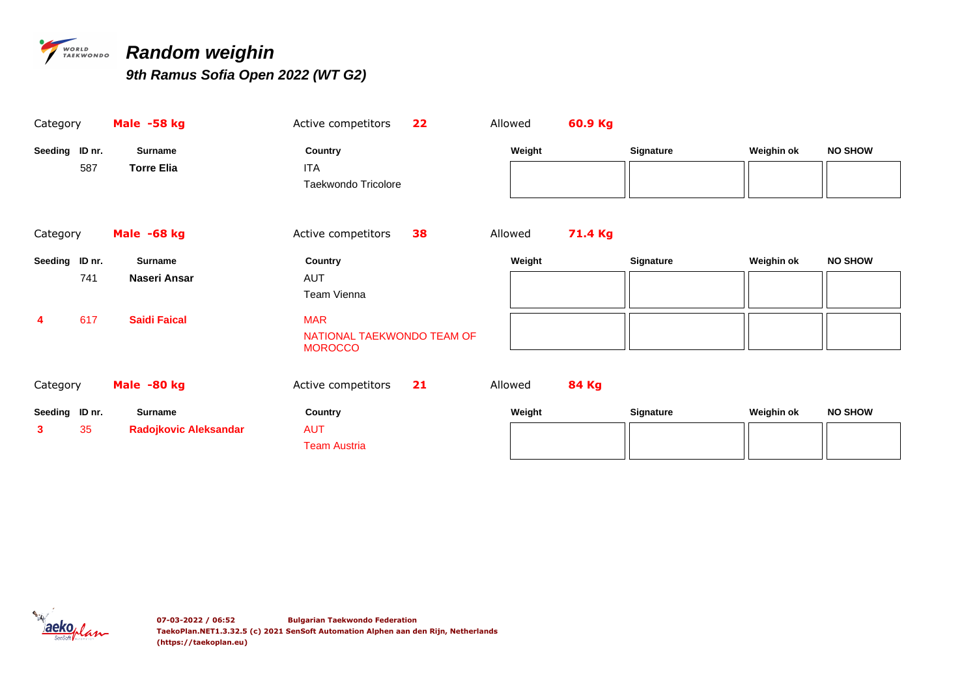

## *PERSONADO Random weighin*

*9th Ramus Sofia Open 2022 (WT G2)*

| Category       |     | Male -58 kg                  | Active competitors         | 22 | Allowed |        | 60.9 Kg      |           |            |                |
|----------------|-----|------------------------------|----------------------------|----|---------|--------|--------------|-----------|------------|----------------|
| Seeding ID nr. |     | <b>Surname</b>               | Country                    |    |         | Weight |              | Signature | Weighin ok | <b>NO SHOW</b> |
|                | 587 | <b>Torre Elia</b>            | ITA                        |    |         |        |              |           |            |                |
|                |     |                              | Taekwondo Tricolore        |    |         |        |              |           |            |                |
|                |     |                              |                            |    |         |        |              |           |            |                |
| Category       |     | Male -68 kg                  | Active competitors         | 38 | Allowed |        | 71.4 Kg      |           |            |                |
| Seeding ID nr. |     | <b>Surname</b>               | Country                    |    |         | Weight |              | Signature | Weighin ok | <b>NO SHOW</b> |
|                | 741 | Naseri Ansar                 | <b>AUT</b>                 |    |         |        |              |           |            |                |
|                |     |                              | Team Vienna                |    |         |        |              |           |            |                |
| 4              | 617 | <b>Saidi Faical</b>          | <b>MAR</b>                 |    |         |        |              |           |            |                |
|                |     |                              | NATIONAL TAEKWONDO TEAM OF |    |         |        |              |           |            |                |
|                |     |                              | <b>MOROCCO</b>             |    |         |        |              |           |            |                |
|                |     |                              |                            |    |         |        |              |           |            |                |
| Category       |     | Male -80 kg                  | Active competitors         | 21 | Allowed |        | <b>84 Kg</b> |           |            |                |
| Seeding ID nr. |     | <b>Surname</b>               | Country                    |    |         | Weight |              | Signature | Weighin ok | <b>NO SHOW</b> |
| 3              | 35  | <b>Radojkovic Aleksandar</b> | <b>AUT</b>                 |    |         |        |              |           |            |                |
|                |     |                              | <b>Team Austria</b>        |    |         |        |              |           |            |                |
|                |     |                              |                            |    |         |        |              |           |            |                |